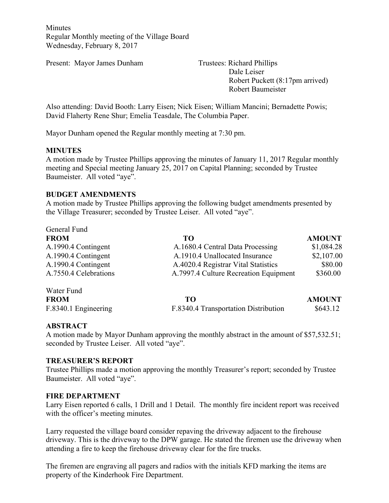Minutes Regular Monthly meeting of the Village Board Wednesday, February 8, 2017

Present: Mayor James Dunham Trustees: Richard Phillips

Dale Leiser Robert Puckett (8:17pm arrived) Robert Baumeister

Also attending: David Booth: Larry Eisen; Nick Eisen; William Mancini; Bernadette Powis; David Flaherty Rene Shur; Emelia Teasdale, The Columbia Paper.

Mayor Dunham opened the Regular monthly meeting at 7:30 pm.

#### **MINUTES**

A motion made by Trustee Phillips approving the minutes of January 11, 2017 Regular monthly meeting and Special meeting January 25, 2017 on Capital Planning; seconded by Trustee Baumeister. All voted "aye".

#### **BUDGET AMENDMENTS**

A motion made by Trustee Phillips approving the following budget amendments presented by the Village Treasurer; seconded by Trustee Leiser. All voted "aye".

| General Fund          |                                       |               |
|-----------------------|---------------------------------------|---------------|
| <b>FROM</b>           | TO                                    | <b>AMOUNT</b> |
| A.1990.4 Contingent   | A.1680.4 Central Data Processing      | \$1,084.28    |
| A.1990.4 Contingent   | A.1910.4 Unallocated Insurance        | \$2,107.00    |
| A.1990.4 Contingent   | A.4020.4 Registrar Vital Statistics   | \$80.00       |
| A.7550.4 Celebrations | A.7997.4 Culture Recreation Equipment | \$360.00      |
| Water Fund            |                                       |               |
| <b>FROM</b>           | TO.                                   | <b>AMOUNT</b> |
| F.8340.1 Engineering  | F.8340.4 Transportation Distribution  | \$643.12      |

#### **ABSTRACT**

A motion made by Mayor Dunham approving the monthly abstract in the amount of \$57,532.51; seconded by Trustee Leiser. All voted "aye".

#### **TREASURER'S REPORT**

Trustee Phillips made a motion approving the monthly Treasurer's report; seconded by Trustee Baumeister. All voted "aye".

#### **FIRE DEPARTMENT**

Larry Eisen reported 6 calls, 1 Drill and 1 Detail. The monthly fire incident report was received with the officer's meeting minutes.

Larry requested the village board consider repaving the driveway adjacent to the firehouse driveway. This is the driveway to the DPW garage. He stated the firemen use the driveway when attending a fire to keep the firehouse driveway clear for the fire trucks.

The firemen are engraving all pagers and radios with the initials KFD marking the items are property of the Kinderhook Fire Department.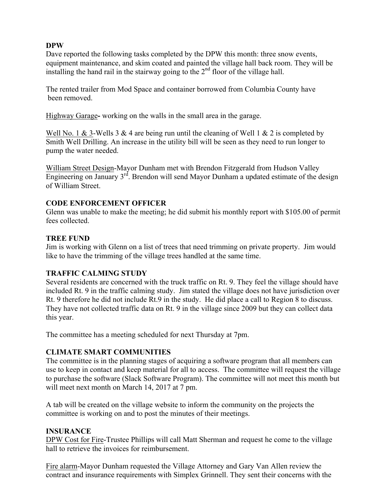## **DPW**

Dave reported the following tasks completed by the DPW this month: three snow events, equipment maintenance, and skim coated and painted the village hall back room. They will be installing the hand rail in the stairway going to the  $2<sup>nd</sup>$  floor of the village hall.

The rented trailer from Mod Space and container borrowed from Columbia County have been removed.

Highway Garage**-** working on the walls in the small area in the garage.

Well No. 1 & 3-Wells 3 & 4 are being run until the cleaning of Well 1 & 2 is completed by Smith Well Drilling. An increase in the utility bill will be seen as they need to run longer to pump the water needed.

William Street Design-Mayor Dunham met with Brendon Fitzgerald from Hudson Valley Engineering on January 3<sup>rd</sup>. Brendon will send Mayor Dunham a updated estimate of the design of William Street.

### **CODE ENFORCEMENT OFFICER**

Glenn was unable to make the meeting; he did submit his monthly report with \$105.00 of permit fees collected.

### **TREE FUND**

Jim is working with Glenn on a list of trees that need trimming on private property. Jim would like to have the trimming of the village trees handled at the same time.

### **TRAFFIC CALMING STUDY**

Several residents are concerned with the truck traffic on Rt. 9. They feel the village should have included Rt. 9 in the traffic calming study. Jim stated the village does not have jurisdiction over Rt. 9 therefore he did not include Rt.9 in the study. He did place a call to Region 8 to discuss. They have not collected traffic data on Rt. 9 in the village since 2009 but they can collect data this year.

The committee has a meeting scheduled for next Thursday at 7pm.

### **CLIMATE SMART COMMUNITIES**

The committee is in the planning stages of acquiring a software program that all members can use to keep in contact and keep material for all to access. The committee will request the village to purchase the software (Slack Software Program). The committee will not meet this month but will meet next month on March 14, 2017 at 7 pm.

A tab will be created on the village website to inform the community on the projects the committee is working on and to post the minutes of their meetings.

### **INSURANCE**

DPW Cost for Fire-Trustee Phillips will call Matt Sherman and request he come to the village hall to retrieve the invoices for reimbursement.

Fire alarm-Mayor Dunham requested the Village Attorney and Gary Van Allen review the contract and insurance requirements with Simplex Grinnell. They sent their concerns with the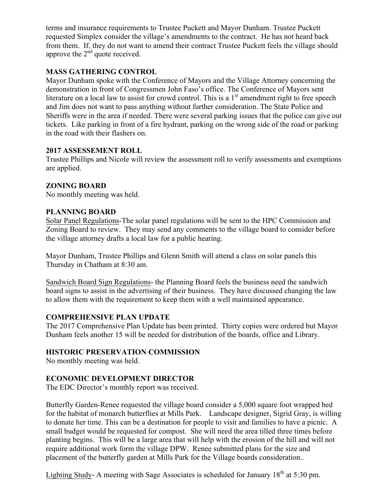terms and insurance requirements to Trustee Puckett and Mayor Dunham. Trustee Puckett requested Simplex consider the village's amendments to the contract. He has not heard back from them. If, they do not want to amend their contract Trustee Puckett feels the village should approve the  $2<sup>nd</sup>$  quote received.

## **MASS GATHERING CONTROL**

Mayor Dunham spoke with the Conference of Mayors and the Village Attorney concerning the demonstration in front of Congressmen John Faso's office. The Conference of Mayors sent literature on a local law to assist for crowd control. This is a  $1<sup>st</sup>$  amendment right to free speech and Jim does not want to pass anything without further consideration. The State Police and Sheriffs were in the area if needed. There were several parking issues that the police can give out tickets. Like parking in front of a fire hydrant, parking on the wrong side of the road or parking in the road with their flashers on.

### **2017 ASSESSEMENT ROLL**

Trustee Phillips and Nicole will review the assessment roll to verify assessments and exemptions are applied.

# **ZONING BOARD**

No monthly meeting was held.

### **PLANNING BOARD**

Solar Panel Regulations-The solar panel regulations will be sent to the HPC Commission and Zoning Board to review. They may send any comments to the village board to consider before the village attorney drafts a local law for a public hearing.

Mayor Dunham, Trustee Phillips and Glenn Smith will attend a class on solar panels this Thursday in Chatham at 8:30 am.

Sandwich Board Sign Regulations- the Planning Board feels the business need the sandwich board signs to assist in the advertising of their business. They have discussed changing the law to allow them with the requirement to keep them with a well maintained appearance.

# **COMPREHENSIVE PLAN UPDATE**

The 2017 Comprehensive Plan Update has been printed. Thirty copies were ordered but Mayor Dunham feels another 15 will be needed for distribution of the boards, office and Library.

# **HISTORIC PRESERVATION COMMISSION**

No monthly meeting was held.

# **ECONOMIC DEVELOPMENT DIRECTOR**

The EDC Director's monthly report was received.

Butterfly Garden-Renee requested the village board consider a 5,000 square foot wrapped bed for the habitat of monarch butterflies at Mills Park. Landscape designer, Sigrid Gray, is willing to donate her time. This can be a destination for people to visit and families to have a picnic. A small budget would be requested for compost. She will need the area tilled three times before planting begins. This will be a large area that will help with the erosion of the hill and will not require additional work form the village DPW. Renee submitted plans for the size and placement of the butterfly garden at Mills Park for the Village boards consideration..

Lighting Study- A meeting with Sage Associates is scheduled for January 18<sup>th</sup> at 5:30 pm.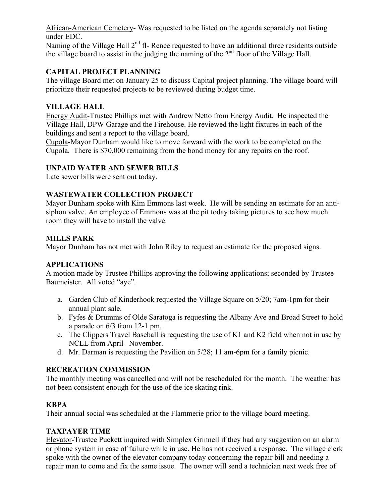African-American Cemetery- Was requested to be listed on the agenda separately not listing under EDC.

Naming of the Village Hall 2<sup>nd</sup> fl- Renee requested to have an additional three residents outside the village board to assist in the judging the naming of the  $2<sup>nd</sup>$  floor of the Village Hall.

# **CAPITAL PROJECT PLANNING**

The village Board met on January 25 to discuss Capital project planning. The village board will prioritize their requested projects to be reviewed during budget time.

#### **VILLAGE HALL**

Energy Audit-Trustee Phillips met with Andrew Netto from Energy Audit. He inspected the Village Hall, DPW Garage and the Firehouse. He reviewed the light fixtures in each of the buildings and sent a report to the village board.

Cupola-Mayor Dunham would like to move forward with the work to be completed on the Cupola. There is \$70,000 remaining from the bond money for any repairs on the roof.

#### **UNPAID WATER AND SEWER BILLS**

Late sewer bills were sent out today.

#### **WASTEWATER COLLECTION PROJECT**

Mayor Dunham spoke with Kim Emmons last week. He will be sending an estimate for an antisiphon valve. An employee of Emmons was at the pit today taking pictures to see how much room they will have to install the valve.

#### **MILLS PARK**

Mayor Dunham has not met with John Riley to request an estimate for the proposed signs.

#### **APPLICATIONS**

A motion made by Trustee Phillips approving the following applications; seconded by Trustee Baumeister. All voted "aye".

- a. Garden Club of Kinderhook requested the Village Square on 5/20; 7am-1pm for their annual plant sale.
- b. Fyfes & Drumms of Olde Saratoga is requesting the Albany Ave and Broad Street to hold a parade on 6/3 from 12-1 pm.
- c. The Clippers Travel Baseball is requesting the use of K1 and K2 field when not in use by NCLL from April –November.
- d. Mr. Darman is requesting the Pavilion on 5/28; 11 am-6pm for a family picnic.

### **RECREATION COMMISSION**

The monthly meeting was cancelled and will not be rescheduled for the month. The weather has not been consistent enough for the use of the ice skating rink.

### **KBPA**

Their annual social was scheduled at the Flammerie prior to the village board meeting.

#### **TAXPAYER TIME**

Elevator-Trustee Puckett inquired with Simplex Grinnell if they had any suggestion on an alarm or phone system in case of failure while in use. He has not received a response. The village clerk spoke with the owner of the elevator company today concerning the repair bill and needing a repair man to come and fix the same issue. The owner will send a technician next week free of